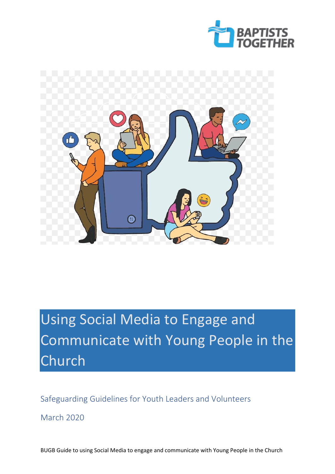



# Using Social Media to Engage and Communicate with Young People in the Church

Safeguarding Guidelines for Youth Leaders and Volunteers

March 2020

BUGB Guide to using Social Media to engage and communicate with Young People in the Church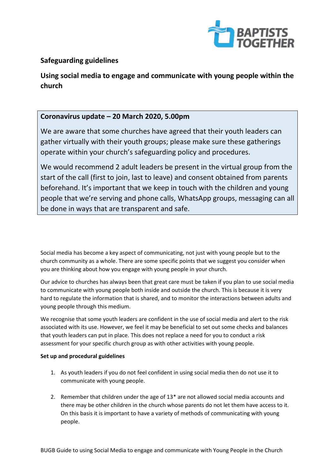

# **Safeguarding guidelines**

**Using social media to engage and communicate with young people within the church**

# **Coronavirus update – 20 March 2020, 5.00pm**

We are aware that some churches have agreed that their youth leaders can gather virtually with their youth groups; please make sure these gatherings operate within your church's safeguarding policy and procedures.

We would recommend 2 adult leaders be present in the virtual group from the start of the call (first to join, last to leave) and consent obtained from parents beforehand. It's important that we keep in touch with the children and young people that we're serving and phone calls, WhatsApp groups, messaging can all be done in ways that are transparent and safe.

Social media has become a key aspect of communicating, not just with young people but to the church community as a whole. There are some specific points that we suggest you consider when you are thinking about how you engage with young people in your church.

Our advice to churches has always been that great care must be taken if you plan to use social media to communicate with young people both inside and outside the church. This is because it is very hard to regulate the information that is shared, and to monitor the interactions between adults and young people through this medium.

We recognise that some youth leaders are confident in the use of social media and alert to the risk associated with its use. However, we feel it may be beneficial to set out some checks and balances that youth leaders can put in place. This does not replace a need for you to conduct a risk assessment for your specific church group as with other activities with young people.

## **Set up and procedural guidelines**

- 1. As youth leaders if you do not feel confident in using social media then do not use it to communicate with young people.
- 2. Remember that children under the age of 13\* are not allowed social media accounts and there may be other children in the church whose parents do not let them have access to it. On this basis it is important to have a variety of methods of communicating with young people.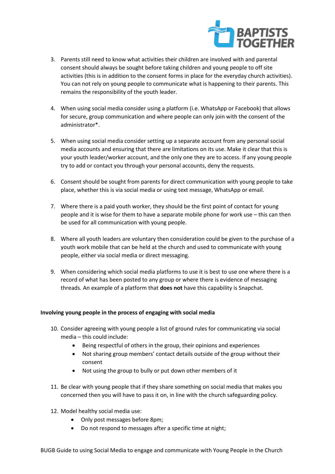

- 3. Parents still need to know what activities their children are involved with and parental consent should always be sought before taking children and young people to off site activities (this is in addition to the consent forms in place for the everyday church activities). You can not rely on young people to communicate what is happening to their parents. This remains the responsibility of the youth leader.
- 4. When using social media consider using a platform (i.e. WhatsApp or Facebook) that allows for secure, group communication and where people can only join with the consent of the administrator\*.
- 5. When using social media consider setting up a separate account from any personal social media accounts and ensuring that there are limitations on its use. Make it clear that this is your youth leader/worker account, and the only one they are to access. If any young people try to add or contact you through your personal accounts, deny the requests.
- 6. Consent should be sought from parents for direct communication with young people to take place, whether this is via social media or using text message, WhatsApp or email.
- 7. Where there is a paid youth worker, they should be the first point of contact for young people and it is wise for them to have a separate mobile phone for work use – this can then be used for all communication with young people.
- 8. Where all youth leaders are voluntary then consideration could be given to the purchase of a youth work mobile that can be held at the church and used to communicate with young people, either via social media or direct messaging.
- 9. When considering which social media platforms to use it is best to use one where there is a record of what has been posted to any group or where there is evidence of messaging threads. An example of a platform that **does not** have this capability is Snapchat.

## **Involving young people in the process of engaging with social media**

- 10. Consider agreeing with young people a list of ground rules for communicating via social media – this could include:
	- Being respectful of others in the group, their opinions and experiences
	- Not sharing group members' contact details outside of the group without their consent
	- Not using the group to bully or put down other members of it
- 11. Be clear with young people that if they share something on social media that makes you concerned then you will have to pass it on, in line with the church safeguarding policy.
- 12. Model healthy social media use:
	- Only post messages before 8pm;
	- Do not respond to messages after a specific time at night;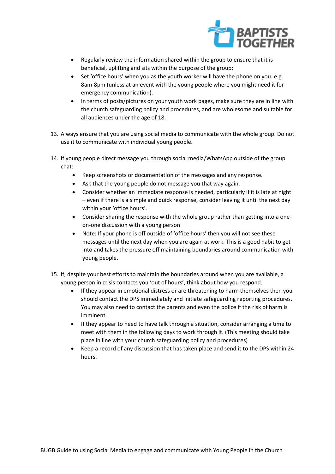

- Regularly review the information shared within the group to ensure that it is beneficial, uplifting and sits within the purpose of the group;
- Set 'office hours' when you as the youth worker will have the phone on you. e.g. 8am-8pm (unless at an event with the young people where you might need it for emergency communication).
- In terms of posts/pictures on your youth work pages, make sure they are in line with the church safeguarding policy and procedures, and are wholesome and suitable for all audiences under the age of 18.
- 13. Always ensure that you are using social media to communicate with the whole group. Do not use it to communicate with individual young people.
- 14. If young people direct message you through social media/WhatsApp outside of the group chat:
	- Keep screenshots or documentation of the messages and any response.
	- Ask that the young people do not message you that way again.
	- Consider whether an immediate response is needed, particularly if it is late at night – even if there is a simple and quick response, consider leaving it until the next day within your 'office hours'.
	- Consider sharing the response with the whole group rather than getting into a oneon-one discussion with a young person
	- Note: If your phone is off outside of 'office hours' then you will not see these messages until the next day when you are again at work. This is a good habit to get into and takes the pressure off maintaining boundaries around communication with young people.
- 15. If, despite your best efforts to maintain the boundaries around when you are available, a young person in crisis contacts you 'out of hours', think about how you respond.
	- If they appear in emotional distress or are threatening to harm themselves then you should contact the DPS immediately and initiate safeguarding reporting procedures. You may also need to contact the parents and even the police if the risk of harm is imminent.
	- If they appear to need to have talk through a situation, consider arranging a time to meet with them in the following days to work through it. (This meeting should take place in line with your church safeguarding policy and procedures)
	- Keep a record of any discussion that has taken place and send it to the DPS within 24 hours.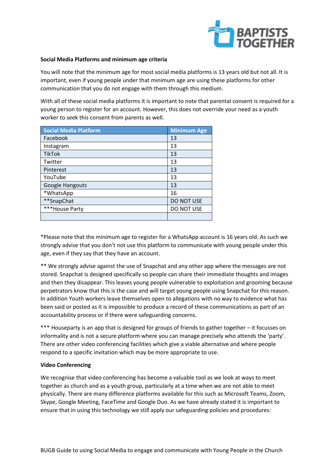

#### **Social Media Platforms and minimum age criteria**

You will note that the minimum age for most social media platforms is 13 years old but not all. It is important, even if young people under that minimum age are using these platforms for other communication that you do not engage with them through this medium.

With all of these social media platforms it is important to note that parental consent is required for a young person to register for an account. However, this does not override your need as a youth worker to seek this consent from parents as well.

| <b>Social Media Platform</b> | <b>Minimum Age</b> |
|------------------------------|--------------------|
| Facebook                     | 13                 |
| Instagram                    | 13                 |
| <b>TikTok</b>                | 13                 |
| Twitter                      | 13                 |
| Pinterest                    | 13                 |
| YouTube                      | 13                 |
| Google Hangouts              | 13                 |
| *WhatsApp                    | 16                 |
| **SnapChat                   | DO NOT USE         |
| ***House Party               | DO NOT USE         |
|                              |                    |

\*Please note that the minimum age to register for a WhatsApp account is 16 years old. As such we strongly advise that you don't not use this platform to communicate with young people under this age, even if they say that they have an account.

\*\* We strongly advise against the use of Snapchat and any other app where the messages are not stored. Snapchat is designed specifically so people can share their immediate thoughts and images and then they disappear. This leaves young people vulnerable to exploitation and grooming because perpetrators know that this is the case and will target young people using Snapchat for this reason. In addition Youth workers leave themselves open to allegations with no way to evidence what has been said or posted as it is impossible to produce a record of these communications as part of an accountability process or if there were safeguarding concerns.

\*\*\* Houseparty is an app that is designed for groups of friends to gather together – it focusses on informality and is not a secure platform where you can manage precisely who attends the 'party'. There are other video conferencing facilities which give a viable alternative and where people respond to a specific invitation which may be more appropriate to use.

## **Video Conferencing**

We recognise that video conferencing has become a valuable tool as we look at ways to meet together as church and as a youth group, particularly at a time when we are not able to meet physically. There are many difference platforms available for this such as Microsoft Teams, Zoom, Skype, Google Meeting, FaceTime and Google Duo. As we have already stated it is important to ensure that in using this technology we still apply our safeguarding policies and procedures: